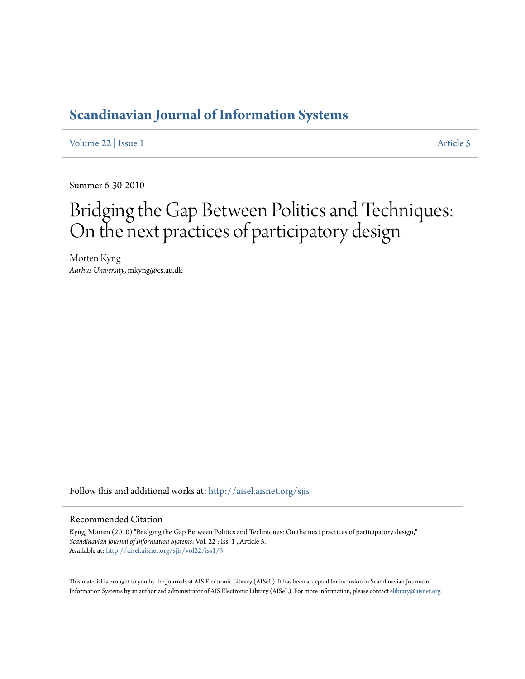# **[Scandinavian Journal of Information Systems](http://aisel.aisnet.org/sjis?utm_source=aisel.aisnet.org%2Fsjis%2Fvol22%2Fiss1%2F5&utm_medium=PDF&utm_campaign=PDFCoverPages)**

[Volume 22](http://aisel.aisnet.org/sjis/vol22?utm_source=aisel.aisnet.org%2Fsjis%2Fvol22%2Fiss1%2F5&utm_medium=PDF&utm_campaign=PDFCoverPages) | [Issue 1](http://aisel.aisnet.org/sjis/vol22/iss1?utm_source=aisel.aisnet.org%2Fsjis%2Fvol22%2Fiss1%2F5&utm_medium=PDF&utm_campaign=PDFCoverPages) [Article 5](http://aisel.aisnet.org/sjis/vol22/iss1/5?utm_source=aisel.aisnet.org%2Fsjis%2Fvol22%2Fiss1%2F5&utm_medium=PDF&utm_campaign=PDFCoverPages)

Summer 6-30-2010

# Bridging the Gap Between Politics and Techniques: On the next practices of participatory design

Morten Kyng *Aarhus University*, mkyng@cs.au.dk

Follow this and additional works at: [http://aisel.aisnet.org/sjis](http://aisel.aisnet.org/sjis?utm_source=aisel.aisnet.org%2Fsjis%2Fvol22%2Fiss1%2F5&utm_medium=PDF&utm_campaign=PDFCoverPages)

#### Recommended Citation

Kyng, Morten (2010) "Bridging the Gap Between Politics and Techniques: On the next practices of participatory design," *Scandinavian Journal of Information Systems*: Vol. 22 : Iss. 1 , Article 5. Available at: [http://aisel.aisnet.org/sjis/vol22/iss1/5](http://aisel.aisnet.org/sjis/vol22/iss1/5?utm_source=aisel.aisnet.org%2Fsjis%2Fvol22%2Fiss1%2F5&utm_medium=PDF&utm_campaign=PDFCoverPages)

This material is brought to you by the Journals at AIS Electronic Library (AISeL). It has been accepted for inclusion in Scandinavian Journal of Information Systems by an authorized administrator of AIS Electronic Library (AISeL). For more information, please contact [elibrary@aisnet.org.](mailto:elibrary@aisnet.org%3E)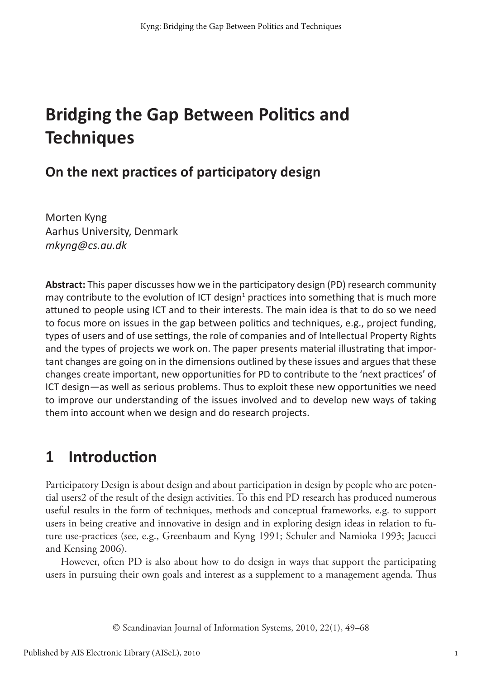# **Bridging the Gap Between Politics and Techniques**

### **On the next practices of participatory design**

Morten Kyng Aarhus University, Denmark *mkyng@cs.au.dk*

**Abstract:** This paper discusses how we in the participatory design (PD) research community may contribute to the evolution of ICT design<sup>1</sup> practices into something that is much more attuned to people using ICT and to their interests. The main idea is that to do so we need to focus more on issues in the gap between politics and techniques, e.g., project funding, types of users and of use settings, the role of companies and of Intellectual Property Rights and the types of projects we work on. The paper presents material illustrating that important changes are going on in the dimensions outlined by these issues and argues that these changes create important, new opportunities for PD to contribute to the 'next practices' of ICT design—as well as serious problems. Thus to exploit these new opportunities we need to improve our understanding of the issues involved and to develop new ways of taking them into account when we design and do research projects.

# **1 Introduction**

Participatory Design is about design and about participation in design by people who are potential users2 of the result of the design activities. To this end PD research has produced numerous useful results in the form of techniques, methods and conceptual frameworks, e.g. to support users in being creative and innovative in design and in exploring design ideas in relation to future use-practices (see, e.g., Greenbaum and Kyng 1991; Schuler and Namioka 1993; Jacucci and Kensing 2006).

However, often PD is also about how to do design in ways that support the participating users in pursuing their own goals and interest as a supplement to a management agenda. Thus

© Scandinavian Journal of Information Systems, 2010, 22(1), 49–68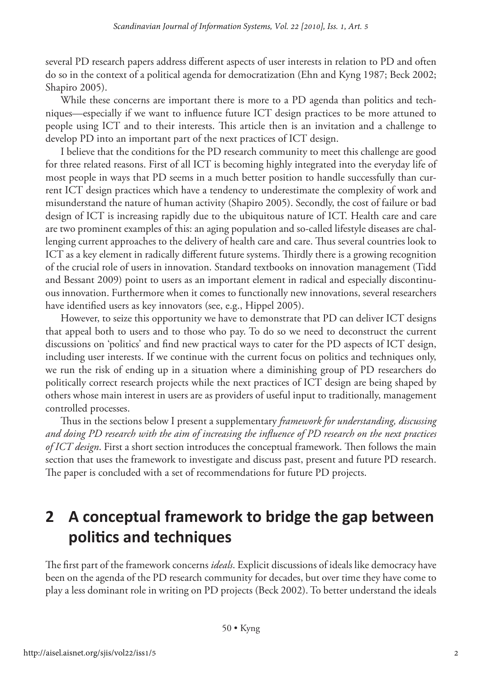several PD research papers address different aspects of user interests in relation to PD and often do so in the context of a political agenda for democratization (Ehn and Kyng 1987; Beck 2002; Shapiro 2005).

While these concerns are important there is more to a PD agenda than politics and techniques—especially if we want to influence future ICT design practices to be more attuned to people using ICT and to their interests. This article then is an invitation and a challenge to develop PD into an important part of the next practices of ICT design.

I believe that the conditions for the PD research community to meet this challenge are good for three related reasons. First of all ICT is becoming highly integrated into the everyday life of most people in ways that PD seems in a much better position to handle successfully than current ICT design practices which have a tendency to underestimate the complexity of work and misunderstand the nature of human activity (Shapiro 2005). Secondly, the cost of failure or bad design of ICT is increasing rapidly due to the ubiquitous nature of ICT. Health care and care are two prominent examples of this: an aging population and so-called lifestyle diseases are challenging current approaches to the delivery of health care and care. Thus several countries look to ICT as a key element in radically different future systems. Thirdly there is a growing recognition of the crucial role of users in innovation. Standard textbooks on innovation management (Tidd and Bessant 2009) point to users as an important element in radical and especially discontinuous innovation. Furthermore when it comes to functionally new innovations, several researchers have identified users as key innovators (see, e.g., Hippel 2005).

However, to seize this opportunity we have to demonstrate that PD can deliver ICT designs that appeal both to users and to those who pay. To do so we need to deconstruct the current discussions on 'politics' and find new practical ways to cater for the PD aspects of ICT design, including user interests. If we continue with the current focus on politics and techniques only, we run the risk of ending up in a situation where a diminishing group of PD researchers do politically correct research projects while the next practices of ICT design are being shaped by others whose main interest in users are as providers of useful input to traditionally, management controlled processes.

Thus in the sections below I present a supplementary *framework for understanding, discussing and doing PD research with the aim of increasing the influence of PD research on the next practices of ICT design*. First a short section introduces the conceptual framework. Then follows the main section that uses the framework to investigate and discuss past, present and future PD research. The paper is concluded with a set of recommendations for future PD projects.

# **2 A conceptual framework to bridge the gap between politics and techniques**

The first part of the framework concerns *ideals*. Explicit discussions of ideals like democracy have been on the agenda of the PD research community for decades, but over time they have come to play a less dominant role in writing on PD projects (Beck 2002). To better understand the ideals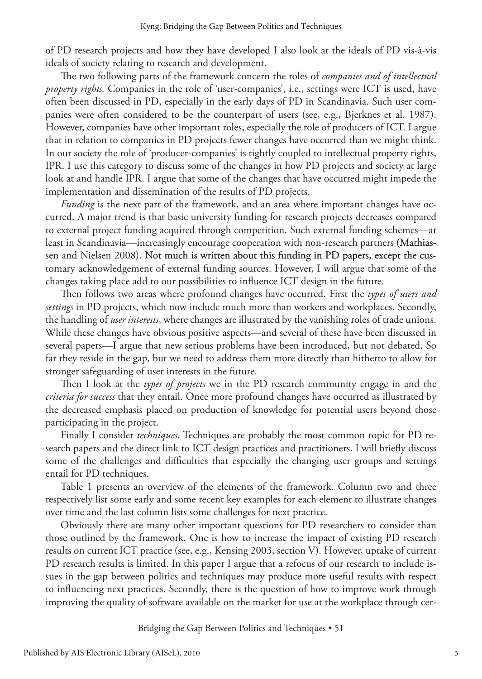of PD research projects and how they have developed I also look at the ideals of PD vis-à-vis ideals of society relating to research and development.

The two following parts of the framework concern the roles of *companies and of intellectual property rights.* Companies in the role of 'user-companies', i.e., settings were ICT is used, have often been discussed in PD, especially in the early days of PD in Scandinavia. Such user companies were often considered to be the counterpart of users (see, e.g., Bjerknes et al. 1987). However, companies have other important roles, especially the role of producers of ICT. I argue that in relation to companies in PD projects fewer changes have occurred than we might think. In our society the role of 'producer-companies' is tightly coupled to intellectual property rights, IPR. I use this category to discuss some of the changes in how PD projects and society at large look at and handle IPR. I argue that some of the changes that have occurred might impede the implementation and dissemination of the results of PD projects.

*Funding* is the next part of the framework, and an area where important changes have occurred. A major trend is that basic university funding for research projects decreases compared to external project funding acquired through competition. Such external funding schemes—at least in Scandinavia—increasingly encourage cooperation with non-research partners (Mathiassen and Nielsen 2008). Not much is written about this funding in PD papers, except the customary acknowledgement of external funding sources. However, I will argue that some of the changes taking place add to our possibilities to influence ICT design in the future.

Then follows two areas where profound changes have occurred. First the *types of users and settings* in PD projects, which now include much more than workers and workplaces. Secondly, the handling of *user interests*, where changes are illustrated by the vanishing roles of trade unions. While these changes have obvious positive aspects—and several of these have been discussed in several papers—I argue that new serious problems have been introduced, but not debated. So far they reside in the gap, but we need to address them more directly than hitherto to allow for stronger safeguarding of user interests in the future.

Then I look at the *types of projects* we in the PD research community engage in and the *criteria for success* that they entail. Once more profound changes have occurred as illustrated by the decreased emphasis placed on production of knowledge for potential users beyond those participating in the project.

Finally I consider *techniques*. Techniques are probably the most common topic for PD research papers and the direct link to ICT design practices and practitioners. I will briefly discuss some of the challenges and difficulties that especially the changing user groups and settings entail for PD techniques.

Table 1 presents an overview of the elements of the framework. Column two and three respectively list some early and some recent key examples for each element to illustrate changes over time and the last column lists some challenges for next practice.

Obviously there are many other important questions for PD researchers to consider than those outlined by the framework. One is how to increase the impact of existing PD research results on current ICT practice (see, e.g., Kensing 2003, section V). However, uptake of current PD research results is limited. In this paper I argue that a refocus of our research to include issues in the gap between politics and techniques may produce more useful results with respect to influencing next practices. Secondly, there is the question of how to improve work through improving the quality of software available on the market for use at the workplace through cer-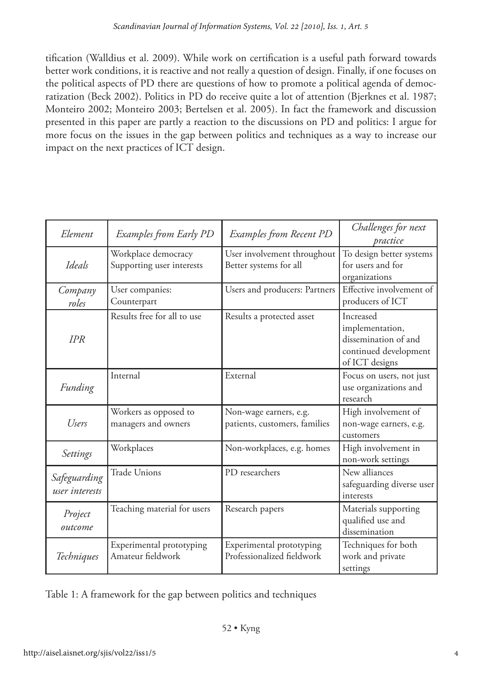tification (Walldius et al. 2009). While work on certification is a useful path forward towards better work conditions, it is reactive and not really a question of design. Finally, if one focuses on the political aspects of PD there are questions of how to promote a political agenda of democratization (Beck 2002). Politics in PD do receive quite a lot of attention (Bjerknes et al. 1987; Monteiro 2002; Monteiro 2003; Bertelsen et al. 2005). In fact the framework and discussion presented in this paper are partly a reaction to the discussions on PD and politics: I argue for more focus on the issues in the gap between politics and techniques as a way to increase our impact on the next practices of ICT design.

| Element                        | Examples from Early PD                           | Examples from Recent PD                                 | Challenges for next<br>practice                                                                 |
|--------------------------------|--------------------------------------------------|---------------------------------------------------------|-------------------------------------------------------------------------------------------------|
| Ideals                         | Workplace democracy<br>Supporting user interests | User involvement throughout<br>Better systems for all   | To design better systems<br>for users and for<br>organizations                                  |
| Company<br>roles               | User companies:<br>Counterpart                   | Users and producers: Partners                           | Effective involvement of<br>producers of ICT                                                    |
| <b>IPR</b>                     | Results free for all to use                      | Results a protected asset                               | Increased<br>implementation,<br>dissemination of and<br>continued development<br>of ICT designs |
| Funding                        | Internal                                         | External                                                | Focus on users, not just<br>use organizations and<br>research                                   |
| Users                          | Workers as opposed to<br>managers and owners     | Non-wage earners, e.g.<br>patients, customers, families | High involvement of<br>non-wage earners, e.g.<br>customers                                      |
| Settings                       | Workplaces                                       | Non-workplaces, e.g. homes                              | High involvement in<br>non-work settings                                                        |
| Safeguarding<br>user interests | Trade Unions                                     | PD researchers                                          | New alliances<br>safeguarding diverse user<br>interests                                         |
| Project<br>outcome             | Teaching material for users                      | Research papers                                         | Materials supporting<br>qualified use and<br>dissemination                                      |
| Techniques                     | Experimental prototyping<br>Amateur fieldwork    | Experimental prototyping<br>Professionalized fieldwork  | Techniques for both<br>work and private<br>settings                                             |

Table 1: A framework for the gap between politics and techniques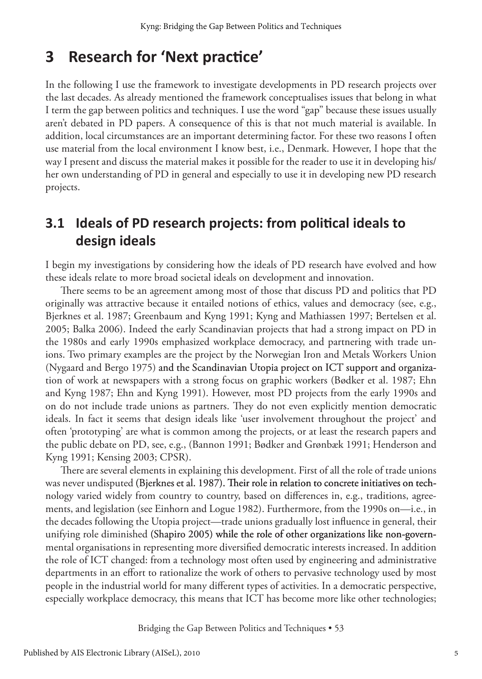### **3 Research for 'Next practice'**

In the following I use the framework to investigate developments in PD research projects over the last decades. As already mentioned the framework conceptualises issues that belong in what I term the gap between politics and techniques. I use the word "gap" because these issues usually aren't debated in PD papers. A consequence of this is that not much material is available. In addition, local circumstances are an important determining factor. For these two reasons I often use material from the local environment I know best, i.e., Denmark. However, I hope that the way I present and discuss the material makes it possible for the reader to use it in developing his/ her own understanding of PD in general and especially to use it in developing new PD research projects.

### **3.1 Ideals of PD research projects: from political ideals to design ideals**

I begin my investigations by considering how the ideals of PD research have evolved and how these ideals relate to more broad societal ideals on development and innovation.

There seems to be an agreement among most of those that discuss PD and politics that PD originally was attractive because it entailed notions of ethics, values and democracy (see, e.g., Bjerknes et al. 1987; Greenbaum and Kyng 1991; Kyng and Mathiassen 1997; Bertelsen et al. 2005; Balka 2006). Indeed the early Scandinavian projects that had a strong impact on PD in the 1980s and early 1990s emphasized workplace democracy, and partnering with trade unions. Two primary examples are the project by the Norwegian Iron and Metals Workers Union (Nygaard and Bergo 1975) and the Scandinavian Utopia project on ICT support and organization of work at newspapers with a strong focus on graphic workers (Bødker et al. 1987; Ehn and Kyng 1987; Ehn and Kyng 1991). However, most PD projects from the early 1990s and on do not include trade unions as partners. They do not even explicitly mention democratic ideals. In fact it seems that design ideals like 'user involvement throughout the project' and often 'prototyping' are what is common among the projects, or at least the research papers and the public debate on PD, see, e.g., (Bannon 1991; Bødker and Grønbæk 1991; Henderson and Kyng 1991; Kensing 2003; CPSR).

There are several elements in explaining this development. First of all the role of trade unions was never undisputed (Bjerknes et al. 1987). Their role in relation to concrete initiatives on technology varied widely from country to country, based on differences in, e.g., traditions, agreements, and legislation (see Einhorn and Logue 1982). Furthermore, from the 1990s on—i.e., in the decades following the Utopia project—trade unions gradually lost influence in general, their unifying role diminished (Shapiro 2005) while the role of other organizations like non-governmental organisations in representing more diversified democratic interests increased. In addition the role of ICT changed: from a technology most often used by engineering and administrative departments in an effort to rationalize the work of others to pervasive technology used by most people in the industrial world for many different types of activities. In a democratic perspective, especially workplace democracy, this means that ICT has become more like other technologies;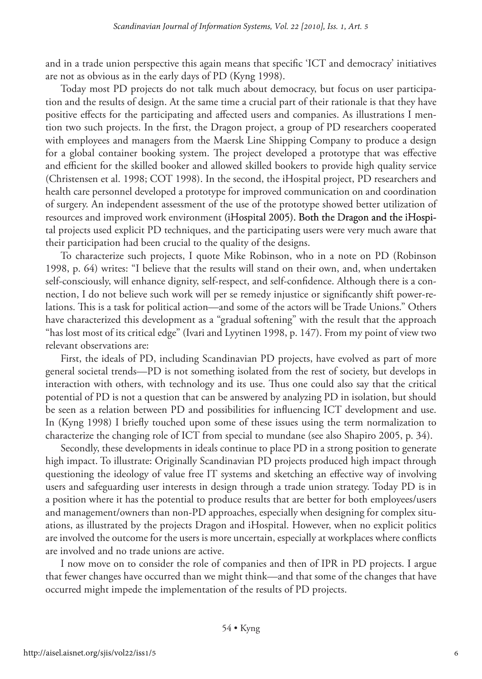and in a trade union perspective this again means that specific 'ICT and democracy' initiatives are not as obvious as in the early days of PD (Kyng 1998).

Today most PD projects do not talk much about democracy, but focus on user participation and the results of design. At the same time a crucial part of their rationale is that they have positive effects for the participating and affected users and companies. As illustrations I mention two such projects. In the first, the Dragon project, a group of PD researchers cooperated with employees and managers from the Maersk Line Shipping Company to produce a design for a global container booking system. The project developed a prototype that was effective and efficient for the skilled booker and allowed skilled bookers to provide high quality service (Christensen et al. 1998; COT 1998). In the second, the iHospital project, PD researchers and health care personnel developed a prototype for improved communication on and coordination of surgery. An independent assessment of the use of the prototype showed better utilization of resources and improved work environment (iHospital 2005). Both the Dragon and the iHospital projects used explicit PD techniques, and the participating users were very much aware that their participation had been crucial to the quality of the designs.

To characterize such projects, I quote Mike Robinson, who in a note on PD (Robinson 1998, p. 64) writes: "I believe that the results will stand on their own, and, when undertaken self-consciously, will enhance dignity, self-respect, and self-confidence. Although there is a connection, I do not believe such work will per se remedy injustice or significantly shift power-relations. This is a task for political action—and some of the actors will be Trade Unions." Others have characterized this development as a "gradual softening" with the result that the approach "has lost most of its critical edge" (Ivari and Lyytinen 1998, p. 147). From my point of view two relevant observations are:

First, the ideals of PD, including Scandinavian PD projects, have evolved as part of more general societal trends—PD is not something isolated from the rest of society, but develops in interaction with others, with technology and its use. Thus one could also say that the critical potential of PD is not a question that can be answered by analyzing PD in isolation, but should be seen as a relation between PD and possibilities for influencing ICT development and use. In (Kyng 1998) I briefly touched upon some of these issues using the term normalization to characterize the changing role of ICT from special to mundane (see also Shapiro 2005, p. 34).

Secondly, these developments in ideals continue to place PD in a strong position to generate high impact. To illustrate: Originally Scandinavian PD projects produced high impact through questioning the ideology of value free IT systems and sketching an effective way of involving users and safeguarding user interests in design through a trade union strategy. Today PD is in a position where it has the potential to produce results that are better for both employees/users and management/owners than non-PD approaches, especially when designing for complex situations, as illustrated by the projects Dragon and iHospital. However, when no explicit politics are involved the outcome for the users is more uncertain, especially at workplaces where conflicts are involved and no trade unions are active.

I now move on to consider the role of companies and then of IPR in PD projects. I argue that fewer changes have occurred than we might think—and that some of the changes that have occurred might impede the implementation of the results of PD projects.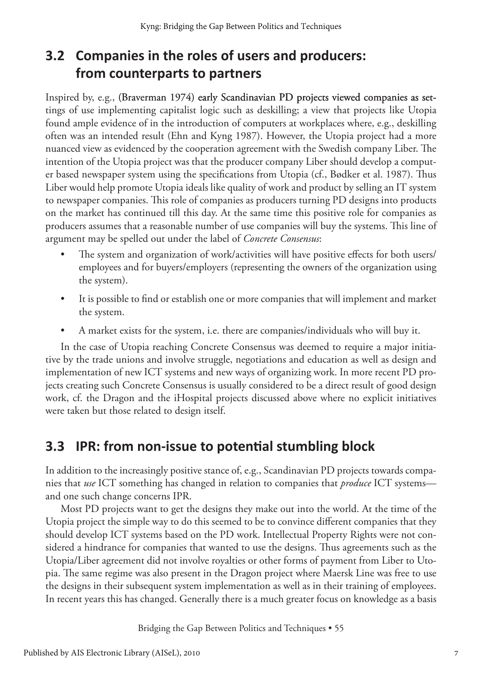### **3.2 Companies in the roles of users and producers: from counterparts to partners**

Inspired by, e.g., (Braverman 1974) early Scandinavian PD projects viewed companies as settings of use implementing capitalist logic such as deskilling; a view that projects like Utopia found ample evidence of in the introduction of computers at workplaces where, e.g., deskilling often was an intended result (Ehn and Kyng 1987). However, the Utopia project had a more nuanced view as evidenced by the cooperation agreement with the Swedish company Liber. The intention of the Utopia project was that the producer company Liber should develop a computer based newspaper system using the specifications from Utopia (cf., Bødker et al. 1987). Thus Liber would help promote Utopia ideals like quality of work and product by selling an IT system to newspaper companies. This role of companies as producers turning PD designs into products on the market has continued till this day. At the same time this positive role for companies as producers assumes that a reasonable number of use companies will buy the systems. This line of argument may be spelled out under the label of *Concrete Consensus*:

- The system and organization of work/activities will have positive effects for both users/ employees and for buyers/employers (representing the owners of the organization using the system).
- It is possible to find or establish one or more companies that will implement and market the system.
- A market exists for the system, i.e. there are companies/individuals who will buy it.

In the case of Utopia reaching Concrete Consensus was deemed to require a major initiative by the trade unions and involve struggle, negotiations and education as well as design and implementation of new ICT systems and new ways of organizing work. In more recent PD projects creating such Concrete Consensus is usually considered to be a direct result of good design work, cf. the Dragon and the iHospital projects discussed above where no explicit initiatives were taken but those related to design itself.

### **3.3 IPR: from non-issue to potential stumbling block**

In addition to the increasingly positive stance of, e.g., Scandinavian PD projects towards companies that *use* ICT something has changed in relation to companies that *produce* ICT systems and one such change concerns IPR.

Most PD projects want to get the designs they make out into the world. At the time of the Utopia project the simple way to do this seemed to be to convince different companies that they should develop ICT systems based on the PD work. Intellectual Property Rights were not considered a hindrance for companies that wanted to use the designs. Thus agreements such as the Utopia/Liber agreement did not involve royalties or other forms of payment from Liber to Utopia. The same regime was also present in the Dragon project where Maersk Line was free to use the designs in their subsequent system implementation as well as in their training of employees. In recent years this has changed. Generally there is a much greater focus on knowledge as a basis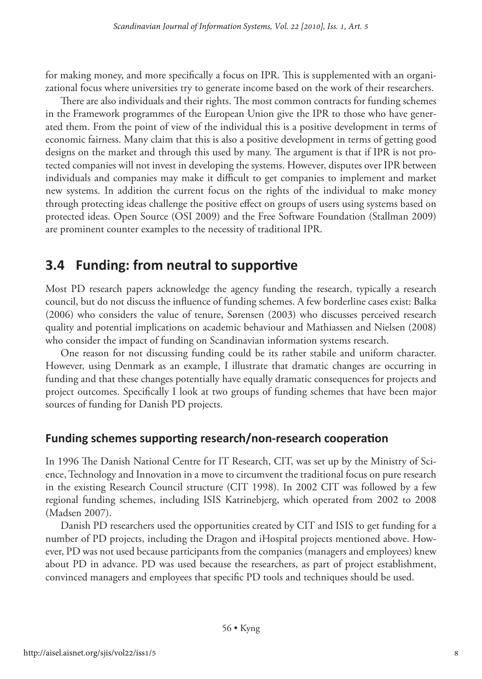for making money, and more specifically a focus on IPR. This is supplemented with an organizational focus where universities try to generate income based on the work of their researchers.

There are also individuals and their rights. The most common contracts for funding schemes in the Framework programmes of the European Union give the IPR to those who have generated them. From the point of view of the individual this is a positive development in terms of economic fairness. Many claim that this is also a positive development in terms of getting good designs on the market and through this used by many. The argument is that if IPR is not protected companies will not invest in developing the systems. However, disputes over IPR between individuals and companies may make it difficult to get companies to implement and market new systems. In addition the current focus on the rights of the individual to make money through protecting ideas challenge the positive effect on groups of users using systems based on protected ideas. Open Source (OSI 2009) and the Free Software Foundation (Stallman 2009) are prominent counter examples to the necessity of traditional IPR.

### **3.4 Funding: from neutral to supportive**

Most PD research papers acknowledge the agency funding the research, typically a research council, but do not discuss the influence of funding schemes. A few borderline cases exist: Balka (2006) who considers the value of tenure, Sørensen (2003) who discusses perceived research quality and potential implications on academic behaviour and Mathiassen and Nielsen (2008) who consider the impact of funding on Scandinavian information systems research.

One reason for not discussing funding could be its rather stabile and uniform character. However, using Denmark as an example, I illustrate that dramatic changes are occurring in funding and that these changes potentially have equally dramatic consequences for projects and project outcomes. Specifically I look at two groups of funding schemes that have been major sources of funding for Danish PD projects.

#### **Funding schemes supporting research/non-research cooperation**

In 1996 The Danish National Centre for IT Research, CIT, was set up by the Ministry of Science, Technology and Innovation in a move to circumvent the traditional focus on pure research in the existing Research Council structure (CIT 1998). In 2002 CIT was followed by a few regional funding schemes, including ISIS Katrinebjerg, which operated from 2002 to 2008 (Madsen 2007).

Danish PD researchers used the opportunities created by CIT and ISIS to get funding for a number of PD projects, including the Dragon and iHospital projects mentioned above. However, PD was not used because participants from the companies (managers and employees) knew about PD in advance. PD was used because the researchers, as part of project establishment, convinced managers and employees that specific PD tools and techniques should be used.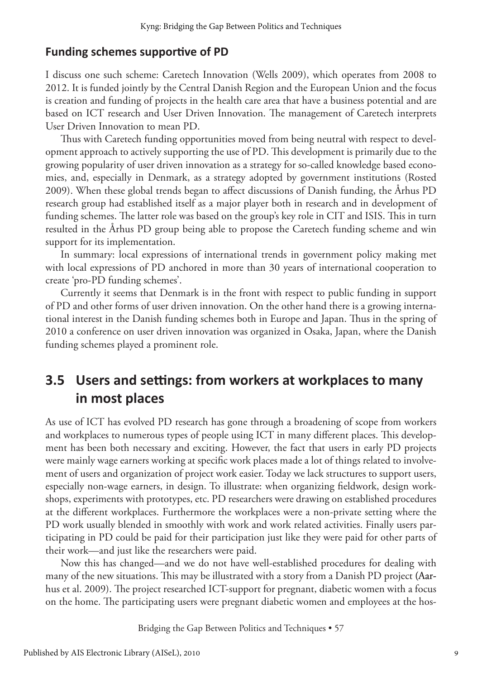#### **Funding schemes supportive of PD**

I discuss one such scheme: Caretech Innovation (Wells 2009), which operates from 2008 to 2012. It is funded jointly by the Central Danish Region and the European Union and the focus is creation and funding of projects in the health care area that have a business potential and are based on ICT research and User Driven Innovation. The management of Caretech interprets User Driven Innovation to mean PD.

Thus with Caretech funding opportunities moved from being neutral with respect to development approach to actively supporting the use of PD. This development is primarily due to the growing popularity of user driven innovation as a strategy for so-called knowledge based economies, and, especially in Denmark, as a strategy adopted by government institutions (Rosted 2009). When these global trends began to affect discussions of Danish funding, the Århus PD research group had established itself as a major player both in research and in development of funding schemes. The latter role was based on the group's key role in CIT and ISIS. This in turn resulted in the Århus PD group being able to propose the Caretech funding scheme and win support for its implementation.

In summary: local expressions of international trends in government policy making met with local expressions of PD anchored in more than 30 years of international cooperation to create 'pro-PD funding schemes'.

Currently it seems that Denmark is in the front with respect to public funding in support of PD and other forms of user driven innovation. On the other hand there is a growing international interest in the Danish funding schemes both in Europe and Japan. Thus in the spring of 2010 a conference on user driven innovation was organized in Osaka, Japan, where the Danish funding schemes played a prominent role.

### **3.5 Users and settings: from workers at workplaces to many in most places**

As use of ICT has evolved PD research has gone through a broadening of scope from workers and workplaces to numerous types of people using ICT in many different places. This development has been both necessary and exciting. However, the fact that users in early PD projects were mainly wage earners working at specific work places made a lot of things related to involvement of users and organization of project work easier. Today we lack structures to support users, especially non-wage earners, in design. To illustrate: when organizing fieldwork, design workshops, experiments with prototypes, etc. PD researchers were drawing on established procedures at the different workplaces. Furthermore the workplaces were a non-private setting where the PD work usually blended in smoothly with work and work related activities. Finally users participating in PD could be paid for their participation just like they were paid for other parts of their work—and just like the researchers were paid.

Now this has changed—and we do not have well-established procedures for dealing with many of the new situations. This may be illustrated with a story from a Danish PD project (Aarhus et al. 2009). The project researched ICT-support for pregnant, diabetic women with a focus on the home. The participating users were pregnant diabetic women and employees at the hos-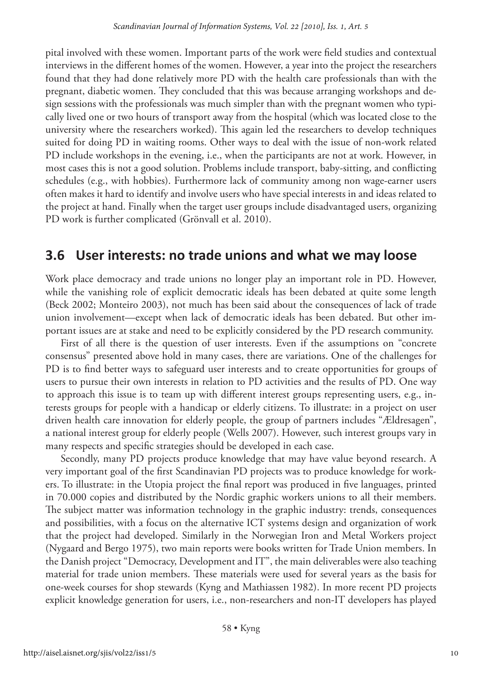pital involved with these women. Important parts of the work were field studies and contextual interviews in the different homes of the women. However, a year into the project the researchers found that they had done relatively more PD with the health care professionals than with the pregnant, diabetic women. They concluded that this was because arranging workshops and design sessions with the professionals was much simpler than with the pregnant women who typically lived one or two hours of transport away from the hospital (which was located close to the university where the researchers worked). This again led the researchers to develop techniques suited for doing PD in waiting rooms. Other ways to deal with the issue of non-work related PD include workshops in the evening, i.e., when the participants are not at work. However, in most cases this is not a good solution. Problems include transport, baby-sitting, and conflicting schedules (e.g., with hobbies). Furthermore lack of community among non wage-earner users often makes it hard to identify and involve users who have special interests in and ideas related to the project at hand. Finally when the target user groups include disadvantaged users, organizing PD work is further complicated (Grönvall et al. 2010).

### **3.6 User interests: no trade unions and what we may loose**

Work place democracy and trade unions no longer play an important role in PD. However, while the vanishing role of explicit democratic ideals has been debated at quite some length (Beck 2002; Monteiro 2003), not much has been said about the consequences of lack of trade union involvement—except when lack of democratic ideals has been debated. But other important issues are at stake and need to be explicitly considered by the PD research community.

First of all there is the question of user interests. Even if the assumptions on "concrete consensus" presented above hold in many cases, there are variations. One of the challenges for PD is to find better ways to safeguard user interests and to create opportunities for groups of users to pursue their own interests in relation to PD activities and the results of PD. One way to approach this issue is to team up with different interest groups representing users, e.g., interests groups for people with a handicap or elderly citizens. To illustrate: in a project on user driven health care innovation for elderly people, the group of partners includes "Ældresagen", a national interest group for elderly people (Wells 2007). However, such interest groups vary in many respects and specific strategies should be developed in each case.

Secondly, many PD projects produce knowledge that may have value beyond research. A very important goal of the first Scandinavian PD projects was to produce knowledge for workers. To illustrate: in the Utopia project the final report was produced in five languages, printed in 70.000 copies and distributed by the Nordic graphic workers unions to all their members. The subject matter was information technology in the graphic industry: trends, consequences and possibilities, with a focus on the alternative ICT systems design and organization of work that the project had developed. Similarly in the Norwegian Iron and Metal Workers project (Nygaard and Bergo 1975), two main reports were books written for Trade Union members. In the Danish project "Democracy, Development and IT", the main deliverables were also teaching material for trade union members. These materials were used for several years as the basis for one-week courses for shop stewards (Kyng and Mathiassen 1982). In more recent PD projects explicit knowledge generation for users, i.e., non-researchers and non-IT developers has played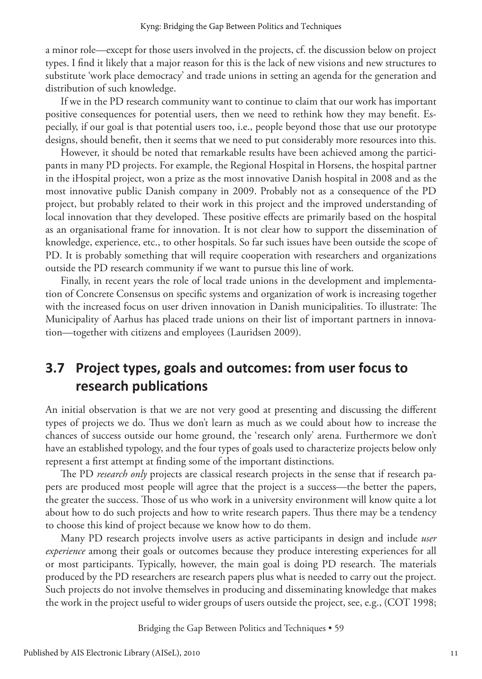a minor role—except for those users involved in the projects, cf. the discussion below on project types. I find it likely that a major reason for this is the lack of new visions and new structures to substitute 'work place democracy' and trade unions in setting an agenda for the generation and distribution of such knowledge.

If we in the PD research community want to continue to claim that our work has important positive consequences for potential users, then we need to rethink how they may benefit. Especially, if our goal is that potential users too, i.e., people beyond those that use our prototype designs, should benefit, then it seems that we need to put considerably more resources into this.

However, it should be noted that remarkable results have been achieved among the participants in many PD projects. For example, the Regional Hospital in Horsens, the hospital partner in the iHospital project, won a prize as the most innovative Danish hospital in 2008 and as the most innovative public Danish company in 2009. Probably not as a consequence of the PD project, but probably related to their work in this project and the improved understanding of local innovation that they developed. These positive effects are primarily based on the hospital as an organisational frame for innovation. It is not clear how to support the dissemination of knowledge, experience, etc., to other hospitals. So far such issues have been outside the scope of PD. It is probably something that will require cooperation with researchers and organizations outside the PD research community if we want to pursue this line of work.

Finally, in recent years the role of local trade unions in the development and implementation of Concrete Consensus on specific systems and organization of work is increasing together with the increased focus on user driven innovation in Danish municipalities. To illustrate: The Municipality of Aarhus has placed trade unions on their list of important partners in innovation—together with citizens and employees (Lauridsen 2009).

### **3.7 Project types, goals and outcomes: from user focus to research publications**

An initial observation is that we are not very good at presenting and discussing the different types of projects we do. Thus we don't learn as much as we could about how to increase the chances of success outside our home ground, the 'research only' arena. Furthermore we don't have an established typology, and the four types of goals used to characterize projects below only represent a first attempt at finding some of the important distinctions.

The PD *research only* projects are classical research projects in the sense that if research papers are produced most people will agree that the project is a success—the better the papers, the greater the success. Those of us who work in a university environment will know quite a lot about how to do such projects and how to write research papers. Thus there may be a tendency to choose this kind of project because we know how to do them.

Many PD research projects involve users as active participants in design and include *user experience* among their goals or outcomes because they produce interesting experiences for all or most participants. Typically, however, the main goal is doing PD research. The materials produced by the PD researchers are research papers plus what is needed to carry out the project. Such projects do not involve themselves in producing and disseminating knowledge that makes the work in the project useful to wider groups of users outside the project, see, e.g., (COT 1998;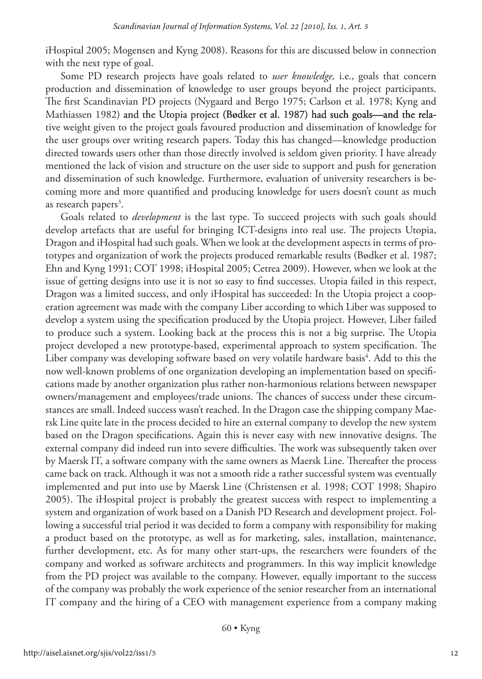iHospital 2005; Mogensen and Kyng 2008). Reasons for this are discussed below in connection with the next type of goal.

Some PD research projects have goals related to *user knowledge,* i.e., goals that concern production and dissemination of knowledge to user groups beyond the project participants. The first Scandinavian PD projects (Nygaard and Bergo 1975; Carlson et al. 1978; Kyng and Mathiassen 1982) and the Utopia project (Bødker et al. 1987) had such goals—and the relative weight given to the project goals favoured production and dissemination of knowledge for the user groups over writing research papers. Today this has changed—knowledge production directed towards users other than those directly involved is seldom given priority. I have already mentioned the lack of vision and structure on the user side to support and push for generation and dissemination of such knowledge. Furthermore, evaluation of university researchers is becoming more and more quantified and producing knowledge for users doesn't count as much as research papers<sup>3</sup>.

Goals related to *development* is the last type. To succeed projects with such goals should develop artefacts that are useful for bringing ICT-designs into real use. The projects Utopia, Dragon and iHospital had such goals. When we look at the development aspects in terms of prototypes and organization of work the projects produced remarkable results (Bødker et al. 1987; Ehn and Kyng 1991; COT 1998; iHospital 2005; Cetrea 2009). However, when we look at the issue of getting designs into use it is not so easy to find successes. Utopia failed in this respect, Dragon was a limited success, and only iHospital has succeeded: In the Utopia project a cooperation agreement was made with the company Liber according to which Liber was supposed to develop a system using the specification produced by the Utopia project. However, Liber failed to produce such a system. Looking back at the process this is not a big surprise. The Utopia project developed a new prototype-based, experimental approach to system specification. The Liber company was developing software based on very volatile hardware basis<sup>4</sup>. Add to this the now well-known problems of one organization developing an implementation based on specifications made by another organization plus rather non-harmonious relations between newspaper owners/management and employees/trade unions. The chances of success under these circumstances are small. Indeed success wasn't reached. In the Dragon case the shipping company Maersk Line quite late in the process decided to hire an external company to develop the new system based on the Dragon specifications. Again this is never easy with new innovative designs. The external company did indeed run into severe difficulties. The work was subsequently taken over by Maersk IT, a software company with the same owners as Maersk Line. Thereafter the process came back on track. Although it was not a smooth ride a rather successful system was eventually implemented and put into use by Maersk Line (Christensen et al. 1998; COT 1998; Shapiro 2005). The iHospital project is probably the greatest success with respect to implementing a system and organization of work based on a Danish PD Research and development project. Following a successful trial period it was decided to form a company with responsibility for making a product based on the prototype, as well as for marketing, sales, installation, maintenance, further development, etc. As for many other start-ups, the researchers were founders of the company and worked as software architects and programmers. In this way implicit knowledge from the PD project was available to the company. However, equally important to the success of the company was probably the work experience of the senior researcher from an international IT company and the hiring of a CEO with management experience from a company making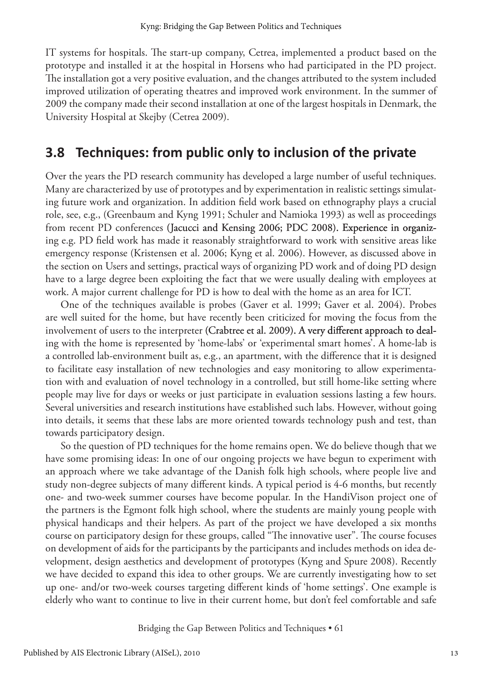IT systems for hospitals. The start-up company, Cetrea, implemented a product based on the prototype and installed it at the hospital in Horsens who had participated in the PD project. The installation got a very positive evaluation, and the changes attributed to the system included improved utilization of operating theatres and improved work environment. In the summer of 2009 the company made their second installation at one of the largest hospitals in Denmark, the University Hospital at Skejby (Cetrea 2009).

#### **3.8 Techniques: from public only to inclusion of the private**

Over the years the PD research community has developed a large number of useful techniques. Many are characterized by use of prototypes and by experimentation in realistic settings simulating future work and organization. In addition field work based on ethnography plays a crucial role, see, e.g., (Greenbaum and Kyng 1991; Schuler and Namioka 1993) as well as proceedings from recent PD conferences (Jacucci and Kensing 2006; PDC 2008). Experience in organizing e.g. PD field work has made it reasonably straightforward to work with sensitive areas like emergency response (Kristensen et al. 2006; Kyng et al. 2006). However, as discussed above in the section on Users and settings, practical ways of organizing PD work and of doing PD design have to a large degree been exploiting the fact that we were usually dealing with employees at work. A major current challenge for PD is how to deal with the home as an area for ICT.

One of the techniques available is probes (Gaver et al. 1999; Gaver et al. 2004). Probes are well suited for the home, but have recently been criticized for moving the focus from the involvement of users to the interpreter (Crabtree et al. 2009). A very different approach to dealing with the home is represented by 'home-labs' or 'experimental smart homes'. A home-lab is a controlled lab-environment built as, e.g., an apartment, with the difference that it is designed to facilitate easy installation of new technologies and easy monitoring to allow experimentation with and evaluation of novel technology in a controlled, but still home-like setting where people may live for days or weeks or just participate in evaluation sessions lasting a few hours. Several universities and research institutions have established such labs. However, without going into details, it seems that these labs are more oriented towards technology push and test, than towards participatory design.

So the question of PD techniques for the home remains open. We do believe though that we have some promising ideas: In one of our ongoing projects we have begun to experiment with an approach where we take advantage of the Danish folk high schools, where people live and study non-degree subjects of many different kinds. A typical period is 4-6 months, but recently one- and two-week summer courses have become popular. In the HandiVison project one of the partners is the Egmont folk high school, where the students are mainly young people with physical handicaps and their helpers. As part of the project we have developed a six months course on participatory design for these groups, called "The innovative user". The course focuses on development of aids for the participants by the participants and includes methods on idea development, design aesthetics and development of prototypes (Kyng and Spure 2008). Recently we have decided to expand this idea to other groups. We are currently investigating how to set up one- and/or two-week courses targeting different kinds of 'home settings'. One example is elderly who want to continue to live in their current home, but don't feel comfortable and safe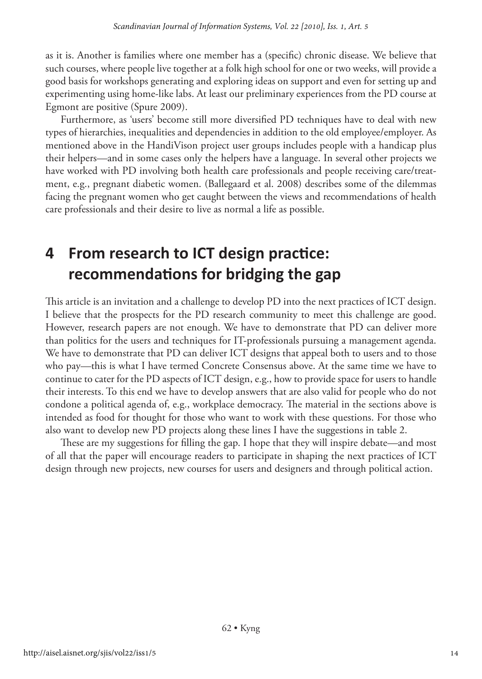as it is. Another is families where one member has a (specific) chronic disease. We believe that such courses, where people live together at a folk high school for one or two weeks, will provide a good basis for workshops generating and exploring ideas on support and even for setting up and experimenting using home-like labs. At least our preliminary experiences from the PD course at Egmont are positive (Spure 2009).

Furthermore, as 'users' become still more diversified PD techniques have to deal with new types of hierarchies, inequalities and dependencies in addition to the old employee/employer. As mentioned above in the HandiVison project user groups includes people with a handicap plus their helpers—and in some cases only the helpers have a language. In several other projects we have worked with PD involving both health care professionals and people receiving care/treatment, e.g., pregnant diabetic women. (Ballegaard et al. 2008) describes some of the dilemmas facing the pregnant women who get caught between the views and recommendations of health care professionals and their desire to live as normal a life as possible.

# **4 From research to ICT design practice: recommendations for bridging the gap**

This article is an invitation and a challenge to develop PD into the next practices of ICT design. I believe that the prospects for the PD research community to meet this challenge are good. However, research papers are not enough. We have to demonstrate that PD can deliver more than politics for the users and techniques for IT-professionals pursuing a management agenda. We have to demonstrate that PD can deliver ICT designs that appeal both to users and to those who pay—this is what I have termed Concrete Consensus above. At the same time we have to continue to cater for the PD aspects of ICT design, e.g., how to provide space for users to handle their interests. To this end we have to develop answers that are also valid for people who do not condone a political agenda of, e.g., workplace democracy. The material in the sections above is intended as food for thought for those who want to work with these questions. For those who also want to develop new PD projects along these lines I have the suggestions in table 2.

These are my suggestions for filling the gap. I hope that they will inspire debate—and most of all that the paper will encourage readers to participate in shaping the next practices of ICT design through new projects, new courses for users and designers and through political action.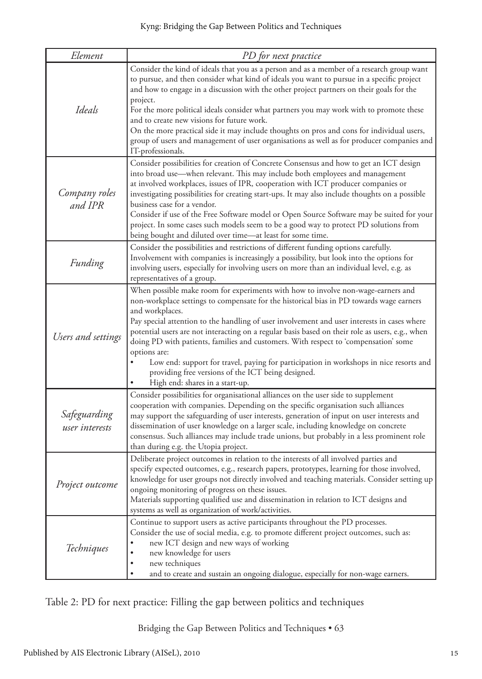| Element                        | PD for next practice                                                                                                                                                                                                                                                                                                                                                                                                                                                                                                                                                                                                                                                                                    |  |  |
|--------------------------------|---------------------------------------------------------------------------------------------------------------------------------------------------------------------------------------------------------------------------------------------------------------------------------------------------------------------------------------------------------------------------------------------------------------------------------------------------------------------------------------------------------------------------------------------------------------------------------------------------------------------------------------------------------------------------------------------------------|--|--|
| Ideals                         | Consider the kind of ideals that you as a person and as a member of a research group want<br>to pursue, and then consider what kind of ideals you want to pursue in a specific project<br>and how to engage in a discussion with the other project partners on their goals for the<br>project.<br>For the more political ideals consider what partners you may work with to promote these<br>and to create new visions for future work.<br>On the more practical side it may include thoughts on pros and cons for individual users,<br>group of users and management of user organisations as well as for producer companies and<br>IT-professionals.                                                  |  |  |
| Company roles<br>and IPR       | Consider possibilities for creation of Concrete Consensus and how to get an ICT design<br>into broad use—when relevant. This may include both employees and management<br>at involved workplaces, issues of IPR, cooperation with ICT producer companies or<br>investigating possibilities for creating start-ups. It may also include thoughts on a possible<br>business case for a vendor.<br>Consider if use of the Free Software model or Open Source Software may be suited for your<br>project. In some cases such models seem to be a good way to protect PD solutions from<br>being bought and diluted over time—at least for some time.                                                        |  |  |
| Funding                        | Consider the possibilities and restrictions of different funding options carefully.<br>Involvement with companies is increasingly a possibility, but look into the options for<br>involving users, especially for involving users on more than an individual level, e.g. as<br>representatives of a group.                                                                                                                                                                                                                                                                                                                                                                                              |  |  |
| Users and settings             | When possible make room for experiments with how to involve non-wage-earners and<br>non-workplace settings to compensate for the historical bias in PD towards wage earners<br>and workplaces.<br>Pay special attention to the handling of user involvement and user interests in cases where<br>potential users are not interacting on a regular basis based on their role as users, e.g., when<br>doing PD with patients, families and customers. With respect to 'compensation' some<br>options are:<br>$\bullet$<br>Low end: support for travel, paying for participation in workshops in nice resorts and<br>providing free versions of the ICT being designed.<br>High end: shares in a start-up. |  |  |
| Safeguarding<br>user interests | Consider possibilities for organisational alliances on the user side to supplement<br>cooperation with companies. Depending on the specific organisation such alliances<br>may support the safeguarding of user interests, generation of input on user interests and<br>dissemination of user knowledge on a larger scale, including knowledge on concrete<br>consensus. Such alliances may include trade unions, but probably in a less prominent role<br>than during e.g. the Utopia project.                                                                                                                                                                                                         |  |  |
| Project outcome                | Deliberate project outcomes in relation to the interests of all involved parties and<br>specify expected outcomes, e.g., research papers, prototypes, learning for those involved,<br>knowledge for user groups not directly involved and teaching materials. Consider setting up<br>ongoing monitoring of progress on these issues.<br>Materials supporting qualified use and dissemination in relation to ICT designs and<br>systems as well as organization of work/activities.                                                                                                                                                                                                                      |  |  |
| Techniques                     | Continue to support users as active participants throughout the PD processes.<br>Consider the use of social media, e.g. to promote different project outcomes, such as:<br>new ICT design and new ways of working<br>new knowledge for users<br>new techniques<br>and to create and sustain an ongoing dialogue, especially for non-wage earners.                                                                                                                                                                                                                                                                                                                                                       |  |  |

Table 2: PD for next practice: Filling the gap between politics and techniques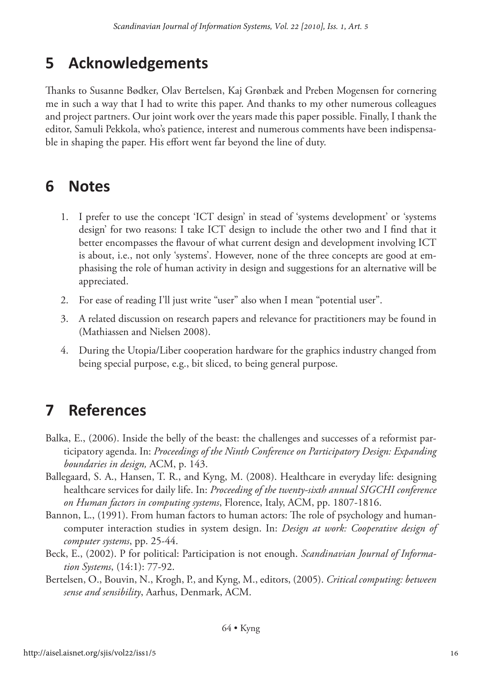# **5 Acknowledgements**

Thanks to Susanne Bødker, Olav Bertelsen, Kaj Grønbæk and Preben Mogensen for cornering me in such a way that I had to write this paper. And thanks to my other numerous colleagues and project partners. Our joint work over the years made this paper possible. Finally, I thank the editor, Samuli Pekkola, who's patience, interest and numerous comments have been indispensable in shaping the paper. His effort went far beyond the line of duty.

# **6 Notes**

- 1. I prefer to use the concept 'ICT design' in stead of 'systems development' or 'systems design' for two reasons: I take ICT design to include the other two and I find that it better encompasses the flavour of what current design and development involving ICT is about, i.e., not only 'systems'. However, none of the three concepts are good at emphasising the role of human activity in design and suggestions for an alternative will be appreciated.
- 2. For ease of reading I'll just write "user" also when I mean "potential user".
- 3. A related discussion on research papers and relevance for practitioners may be found in (Mathiassen and Nielsen 2008).
- 4. During the Utopia/Liber cooperation hardware for the graphics industry changed from being special purpose, e.g., bit sliced, to being general purpose.

# **7 References**

- Balka, E., (2006). Inside the belly of the beast: the challenges and successes of a reformist participatory agenda. In: *Proceedings of the Ninth Conference on Participatory Design: Expanding boundaries in design,* ACM, p. 143.
- Ballegaard, S. A., Hansen, T. R., and Kyng, M. (2008). Healthcare in everyday life: designing healthcare services for daily life. In: *Proceeding of the twenty-sixth annual SIGCHI conference on Human factors in computing systems*, Florence, Italy, ACM, pp. 1807-1816.
- Bannon, L., (1991). From human factors to human actors: The role of psychology and humancomputer interaction studies in system design. In: *Design at work: Cooperative design of computer systems*, pp. 25-44.
- Beck, E., (2002). P for political: Participation is not enough. *Scandinavian Journal of Information Systems*, (14:1): 77-92.
- Bertelsen, O., Bouvin, N., Krogh, P., and Kyng, M., editors, (2005). *Critical computing: between sense and sensibility*, Aarhus, Denmark, ACM.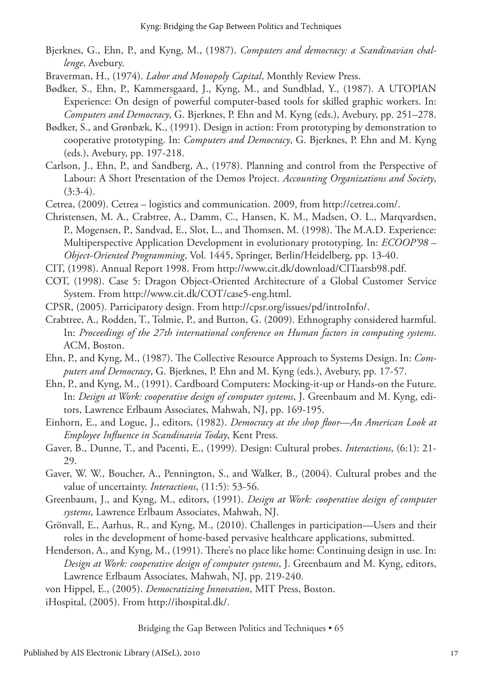- Bjerknes, G., Ehn, P., and Kyng, M., (1987). *Computers and democracy: a Scandinavian challenge*, Avebury.
- Braverman, H., (1974). *Labor and Monopoly Capital*, Monthly Review Press.
- Bødker, S., Ehn, P., Kammersgaard, J., Kyng, M., and Sundblad, Y., (1987). A UTOPIAN Experience: On design of powerful computer-based tools for skilled graphic workers. In: *Computers and Democracy*, G. Bjerknes, P. Ehn and M. Kyng (eds.), Avebury, pp. 251–278.
- Bødker, S., and Grønbæk, K., (1991). Design in action: From prototyping by demonstration to cooperative prototyping. In: *Computers and Democracy*, G. Bjerknes, P. Ehn and M. Kyng (eds.), Avebury, pp. 197-218.
- Carlson, J., Ehn, P., and Sandberg, A., (1978). Planning and control from the Perspective of Labour: A Short Presentation of the Demos Project. *Accounting Organizations and Society*,  $(3:3-4)$ .
- Cetrea, (2009). Cetrea logistics and communication. 2009, from http://cetrea.com/.
- Christensen, M. A., Crabtree, A., Damm, C., Hansen, K. M., Madsen, O. L., Marqvardsen, P., Mogensen, P., Sandvad, E., Slot, L., and Thomsen, M. (1998). The M.A.D. Experience: Multiperspective Application Development in evolutionary prototyping. In: *ECOOP'98 – Object-Oriented Programming*, Vol. 1445, Springer, Berlin/Heidelberg, pp. 13-40.
- CIT, (1998). Annual Report 1998. From http://www.cit.dk/download/CITaarsb98.pdf.
- COT, (1998). Case 5: Dragon Object-Oriented Architecture of a Global Customer Service System. From http://www.cit.dk/COT/case5-eng.html.
- CPSR, (2005). Participatory design. From http://cpsr.org/issues/pd/introInfo/.
- Crabtree, A., Rodden, T., Tolmie, P., and Button, G. (2009). Ethnography considered harmful. In: *Proceedings of the 27th international conference on Human factors in computing systems*. ACM, Boston.
- Ehn, P., and Kyng, M., (1987). The Collective Resource Approach to Systems Design. In: *Computers and Democracy*, G. Bjerknes, P. Ehn and M. Kyng (eds.), Avebury, pp. 17-57.
- Ehn, P., and Kyng, M., (1991). Cardboard Computers: Mocking-it-up or Hands-on the Future. In: *Design at Work: cooperative design of computer systems*, J. Greenbaum and M. Kyng, editors, Lawrence Erlbaum Associates, Mahwah, NJ, pp. 169-195.
- Einhorn, E., and Logue, J., editors, (1982). *Democracy at the shop floor—An American Look at Employee Influence in Scandinavia Today*, Kent Press.
- Gaver, B., Dunne, T., and Pacenti, E., (1999). Design: Cultural probes. *Interactions*, (6:1): 21- 29.
- Gaver, W. W., Boucher, A., Pennington, S., and Walker, B., (2004). Cultural probes and the value of uncertainty. *Interactions*, (11:5): 53-56.
- Greenbaum, J., and Kyng, M., editors, (1991). *Design at Work: cooperative design of computer systems*, Lawrence Erlbaum Associates, Mahwah, NJ.
- Grönvall, E., Aarhus, R., and Kyng, M., (2010). Challenges in participation—Users and their roles in the development of home-based pervasive healthcare applications, submitted.
- Henderson, A., and Kyng, M., (1991). There's no place like home: Continuing design in use. In: *Design at Work: cooperative design of computer systems*, J. Greenbaum and M. Kyng, editors, Lawrence Erlbaum Associates, Mahwah, NJ, pp. 219-240.

von Hippel, E., (2005). *Democratizing Innovation*, MIT Press, Boston.

iHospital, (2005). From http://ihospital.dk/.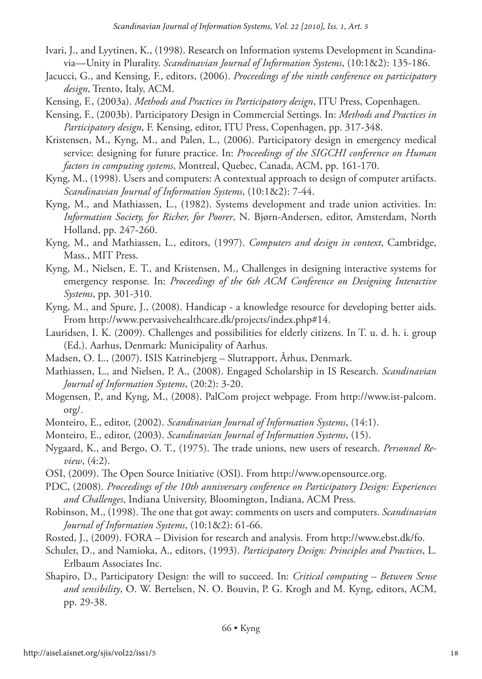- Ivari, J., and Lyytinen, K., (1998). Research on Information systems Development in Scandinavia—Unity in Plurality. *Scandinavian Journal of Information Systems*, (10:1&2): 135-186.
- Jacucci, G., and Kensing, F., editors, (2006). *Proceedings of the ninth conference on participatory design*, Trento, Italy, ACM.
- Kensing, F., (2003a). *Methods and Practices in Participatory design*, ITU Press, Copenhagen.
- Kensing, F., (2003b). Participatory Design in Commercial Settings. In: *Methods and Practices in Participatory design*, F. Kensing, editor, ITU Press, Copenhagen, pp. 317-348.
- Kristensen, M., Kyng, M., and Palen, L., (2006). Participatory design in emergency medical service: designing for future practice. In: *Proceedings of the SIGCHI conference on Human factors in computing systems*, Montreal, Quebec, Canada, ACM, pp. 161-170.
- Kyng, M., (1998). Users and computers: A contextual approach to design of computer artifacts. *Scandinavian Journal of Information Systems*, (10:1&2): 7-44.
- Kyng, M., and Mathiassen, L., (1982). Systems development and trade union activities. In: *Information Society, for Richer, for Poorer*, N. Bjørn-Andersen, editor, Amsterdam, North Holland, pp. 247-260.
- Kyng, M., and Mathiassen, L., editors, (1997). *Computers and design in context*, Cambridge, Mass., MIT Press.
- Kyng, M., Nielsen, E. T., and Kristensen, M., Challenges in designing interactive systems for emergency response. In: *Proceedings of the 6th ACM Conference on Designing Interactive Systems*, pp. 301-310.
- Kyng, M., and Spure, J., (2008). Handicap a knowledge resource for developing better aids. From http://www.pervasivehealthcare.dk/projects/index.php#14.
- Lauridsen, I. K. (2009). Challenges and possibilities for elderly citizens. In T. u. d. h. i. group (Ed.). Aarhus, Denmark: Municipality of Aarhus.
- Madsen, O. L., (2007). ISIS Katrinebjerg Slutrapport, Århus, Denmark.
- Mathiassen, L., and Nielsen, P. A., (2008). Engaged Scholarship in IS Research. *Scandinavian Journal of Information Systems*, (20:2): 3-20.
- Mogensen, P., and Kyng, M., (2008). PalCom project webpage. From http://www.ist-palcom. org/.
- Monteiro, E., editor, (2002). *Scandinavian Journal of Information Systems*, (14:1).
- Monteiro, E., editor, (2003). *Scandinavian Journal of Information Systems*, (15).
- Nygaard, K., and Bergo, O. T., (1975). The trade unions, new users of research. *Personnel Review*, (4:2).
- OSI, (2009). The Open Source Initiative (OSI). From http://www.opensource.org.
- PDC, (2008). *Proceedings of the 10th anniversary conference on Participatory Design: Experiences and Challenges*, Indiana University, Bloomington, Indiana, ACM Press.
- Robinson, M., (1998). The one that got away: comments on users and computers. *Scandinavian Journal of Information Systems*, (10:1&2): 61-66.
- Rosted, J., (2009). FORA Division for research and analysis. From http://www.ebst.dk/fo.
- Schuler, D., and Namioka, A., editors, (1993). *Participatory Design: Principles and Practices*, L. Erlbaum Associates Inc.
- Shapiro, D., Participatory Design: the will to succeed. In: *Critical computing Between Sense and sensibility*, O. W. Bertelsen, N. O. Bouvin, P. G. Krogh and M. Kyng, editors, ACM, pp. 29-38.